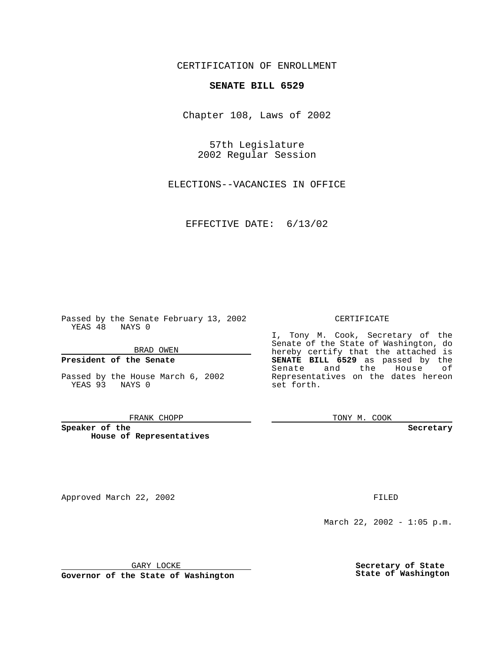CERTIFICATION OF ENROLLMENT

## **SENATE BILL 6529**

Chapter 108, Laws of 2002

57th Legislature 2002 Regular Session

ELECTIONS--VACANCIES IN OFFICE

EFFECTIVE DATE: 6/13/02

Passed by the Senate February 13, 2002 YEAS 48 NAYS 0

BRAD OWEN

### **President of the Senate**

Passed by the House March 6, 2002 YEAS 93 NAYS 0

#### FRANK CHOPP

**Speaker of the House of Representatives**

Approved March 22, 2002 **FILED** 

### CERTIFICATE

I, Tony M. Cook, Secretary of the Senate of the State of Washington, do hereby certify that the attached is **SENATE BILL 6529** as passed by the Senate and the House of Representatives on the dates hereon set forth.

TONY M. COOK

**Secretary**

March 22, 2002 - 1:05 p.m.

GARY LOCKE

**Governor of the State of Washington**

**Secretary of State State of Washington**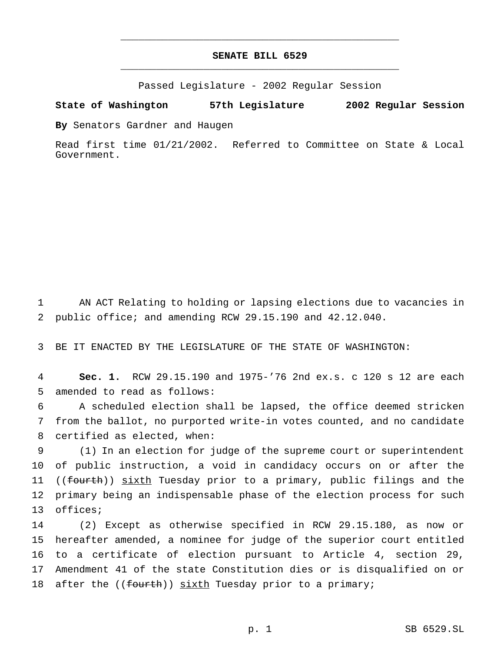# **SENATE BILL 6529** \_\_\_\_\_\_\_\_\_\_\_\_\_\_\_\_\_\_\_\_\_\_\_\_\_\_\_\_\_\_\_\_\_\_\_\_\_\_\_\_\_\_\_\_\_\_\_

\_\_\_\_\_\_\_\_\_\_\_\_\_\_\_\_\_\_\_\_\_\_\_\_\_\_\_\_\_\_\_\_\_\_\_\_\_\_\_\_\_\_\_\_\_\_\_

Passed Legislature - 2002 Regular Session

**State of Washington 57th Legislature 2002 Regular Session**

**By** Senators Gardner and Haugen

Read first time 01/21/2002. Referred to Committee on State & Local Government.

1 AN ACT Relating to holding or lapsing elections due to vacancies in 2 public office; and amending RCW 29.15.190 and 42.12.040.

3 BE IT ENACTED BY THE LEGISLATURE OF THE STATE OF WASHINGTON:

4 **Sec. 1.** RCW 29.15.190 and 1975-'76 2nd ex.s. c 120 s 12 are each 5 amended to read as follows:

6 A scheduled election shall be lapsed, the office deemed stricken 7 from the ballot, no purported write-in votes counted, and no candidate 8 certified as elected, when:

9 (1) In an election for judge of the supreme court or superintendent 10 of public instruction, a void in candidacy occurs on or after the 11 ((fourth)) sixth Tuesday prior to a primary, public filings and the 12 primary being an indispensable phase of the election process for such 13 offices;

 (2) Except as otherwise specified in RCW 29.15.180, as now or hereafter amended, a nominee for judge of the superior court entitled to a certificate of election pursuant to Article 4, section 29, Amendment 41 of the state Constitution dies or is disqualified on or 18 after the ((fourth)) sixth Tuesday prior to a primary;